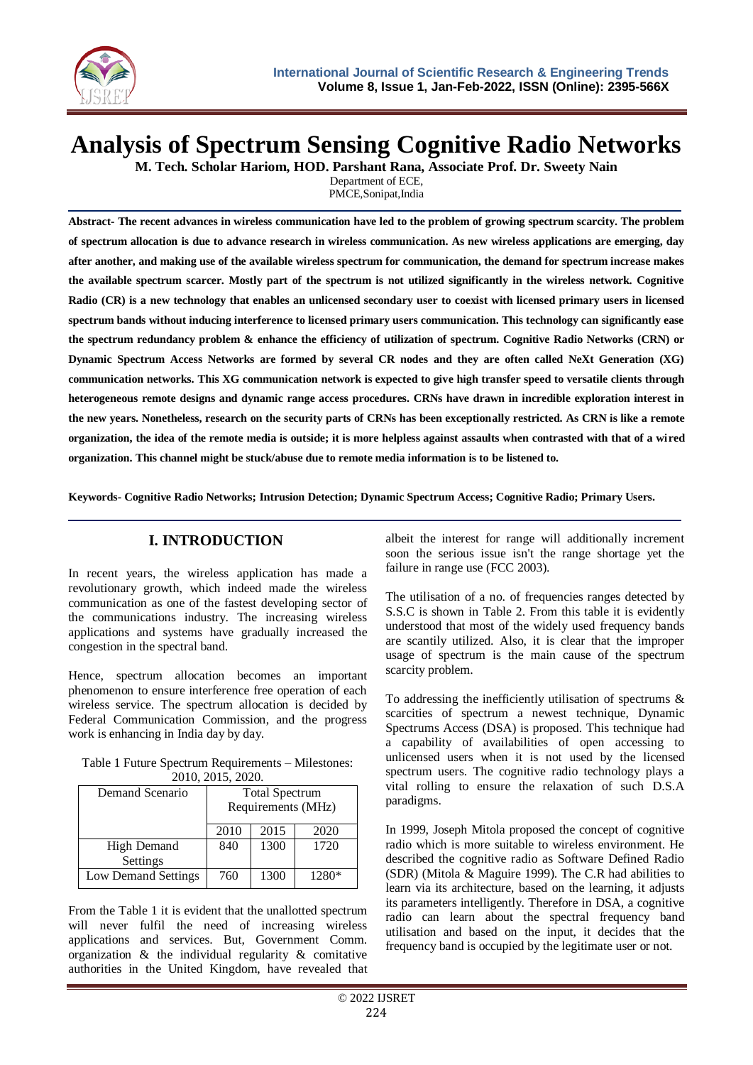

# **Analysis of Spectrum Sensing Cognitive Radio Networks**

**M. Tech. Scholar Hariom, HOD. Parshant Rana, Associate Prof. Dr. Sweety Nain**

Department of ECE, PMCE,Sonipat,India

**Abstract- The recent advances in wireless communication have led to the problem of growing spectrum scarcity. The problem of spectrum allocation is due to advance research in wireless communication. As new wireless applications are emerging, day after another, and making use of the available wireless spectrum for communication, the demand for spectrum increase makes the available spectrum scarcer. Mostly part of the spectrum is not utilized significantly in the wireless network. Cognitive Radio (CR) is a new technology that enables an unlicensed secondary user to coexist with licensed primary users in licensed spectrum bands without inducing interference to licensed primary users communication. This technology can significantly ease the spectrum redundancy problem & enhance the efficiency of utilization of spectrum. Cognitive Radio Networks (CRN) or Dynamic Spectrum Access Networks are formed by several CR nodes and they are often called NeXt Generation (XG) communication networks. This XG communication network is expected to give high transfer speed to versatile clients through heterogeneous remote designs and dynamic range access procedures. CRNs have drawn in incredible exploration interest in the new years. Nonetheless, research on the security parts of CRNs has been exceptionally restricted. As CRN is like a remote organization, the idea of the remote media is outside; it is more helpless against assaults when contrasted with that of a wired organization. This channel might be stuck/abuse due to remote media information is to be listened to.**

**Keywords- Cognitive Radio Networks; Intrusion Detection; Dynamic Spectrum Access; Cognitive Radio; Primary Users.**

#### **I. INTRODUCTION**

In recent years, the wireless application has made a revolutionary growth, which indeed made the wireless communication as one of the fastest developing sector of the communications industry. The increasing wireless applications and systems have gradually increased the congestion in the spectral band.

Hence, spectrum allocation becomes an important phenomenon to ensure interference free operation of each wireless service. The spectrum allocation is decided by Federal Communication Commission, and the progress work is enhancing in India day by day.

| Table 1 Future Spectrum Requirements – Milestones: |
|----------------------------------------------------|
| 2010, 2015, 2020.                                  |

| Demand Scenario     | <b>Total Spectrum</b><br>Requirements (MHz) |      |       |
|---------------------|---------------------------------------------|------|-------|
|                     | 2010                                        | 2015 | 2020  |
| High Demand         | 840                                         | 1300 | 1720  |
| Settings            |                                             |      |       |
| Low Demand Settings | 760                                         | 1300 | 1280* |

From the Table 1 it is evident that the unallotted spectrum will never fulfil the need of increasing wireless applications and services. But, Government Comm. organization  $\&$  the individual regularity  $\&$  comitative authorities in the United Kingdom, have revealed that

albeit the interest for range will additionally increment soon the serious issue isn't the range shortage yet the failure in range use (FCC 2003).

The utilisation of a no. of frequencies ranges detected by S.S.C is shown in Table 2. From this table it is evidently understood that most of the widely used frequency bands are scantily utilized. Also, it is clear that the improper usage of spectrum is the main cause of the spectrum scarcity problem.

To addressing the inefficiently utilisation of spectrums & scarcities of spectrum a newest technique, Dynamic Spectrums Access (DSA) is proposed. This technique had a capability of availabilities of open accessing to unlicensed users when it is not used by the licensed spectrum users. The cognitive radio technology plays a vital rolling to ensure the relaxation of such D.S.A paradigms.

In 1999, Joseph Mitola proposed the concept of cognitive radio which is more suitable to wireless environment. He described the cognitive radio as Software Defined Radio (SDR) (Mitola & Maguire 1999). The C.R had abilities to learn via its architecture, based on the learning, it adjusts its parameters intelligently. Therefore in DSA, a cognitive radio can learn about the spectral frequency band utilisation and based on the input, it decides that the frequency band is occupied by the legitimate user or not.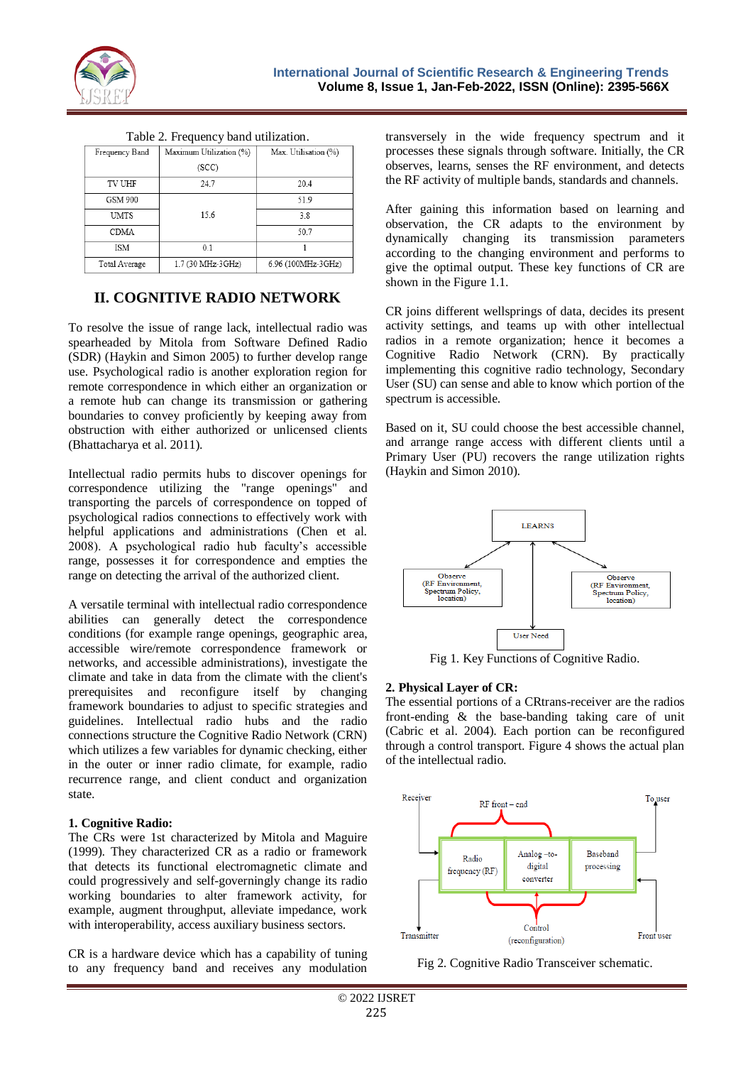

Table 2. Frequency band utilization.

| Frequency Band | Maximum Utilization (%) | Max. Utilisation (%) |
|----------------|-------------------------|----------------------|
|                | (SCC)                   |                      |
| <b>TV UHF</b>  | 24.7                    | 20.4                 |
| <b>GSM 900</b> |                         | 51.9                 |
| <b>UMTS</b>    | 15.6                    | 3.8                  |
| <b>CDMA</b>    |                         | 50.7                 |
| ISM            | 0.1                     |                      |
| Total Average  | 1.7 (30 MHz-3GHz)       | 6.96 (100MHz-3GHz)   |

### **II. COGNITIVE RADIO NETWORK**

To resolve the issue of range lack, intellectual radio was spearheaded by Mitola from Software Defined Radio (SDR) (Haykin and Simon 2005) to further develop range use. Psychological radio is another exploration region for remote correspondence in which either an organization or a remote hub can change its transmission or gathering boundaries to convey proficiently by keeping away from obstruction with either authorized or unlicensed clients (Bhattacharya et al. 2011).

Intellectual radio permits hubs to discover openings for correspondence utilizing the "range openings" and transporting the parcels of correspondence on topped of psychological radios connections to effectively work with helpful applications and administrations (Chen et al. 2008). A psychological radio hub faculty's accessible range, possesses it for correspondence and empties the range on detecting the arrival of the authorized client.

A versatile terminal with intellectual radio correspondence abilities can generally detect the correspondence conditions (for example range openings, geographic area, accessible wire/remote correspondence framework or networks, and accessible administrations), investigate the climate and take in data from the climate with the client's prerequisites and reconfigure itself by changing framework boundaries to adjust to specific strategies and guidelines. Intellectual radio hubs and the radio connections structure the Cognitive Radio Network (CRN) which utilizes a few variables for dynamic checking, either in the outer or inner radio climate, for example, radio recurrence range, and client conduct and organization state.

#### **1. Cognitive Radio:**

The CRs were 1st characterized by Mitola and Maguire (1999). They characterized CR as a radio or framework that detects its functional electromagnetic climate and could progressively and self-governingly change its radio working boundaries to alter framework activity, for example, augment throughput, alleviate impedance, work with interoperability, access auxiliary business sectors.

CR is a hardware device which has a capability of tuning to any frequency band and receives any modulation transversely in the wide frequency spectrum and it processes these signals through software. Initially, the CR observes, learns, senses the RF environment, and detects the RF activity of multiple bands, standards and channels.

After gaining this information based on learning and observation, the CR adapts to the environment by dynamically changing its transmission parameters according to the changing environment and performs to give the optimal output. These key functions of CR are shown in the Figure 1.1.

CR joins different wellsprings of data, decides its present activity settings, and teams up with other intellectual radios in a remote organization; hence it becomes a Cognitive Radio Network (CRN). By practically implementing this cognitive radio technology, Secondary User (SU) can sense and able to know which portion of the spectrum is accessible.

Based on it, SU could choose the best accessible channel, and arrange range access with different clients until a Primary User (PU) recovers the range utilization rights (Haykin and Simon 2010).



Fig 1. Key Functions of Cognitive Radio.

#### **2. Physical Layer of CR:**

The essential portions of a CRtrans-receiver are the radios front-ending & the base-banding taking care of unit (Cabric et al. 2004). Each portion can be reconfigured through a control transport. Figure 4 shows the actual plan of the intellectual radio.



Fig 2. Cognitive Radio Transceiver schematic.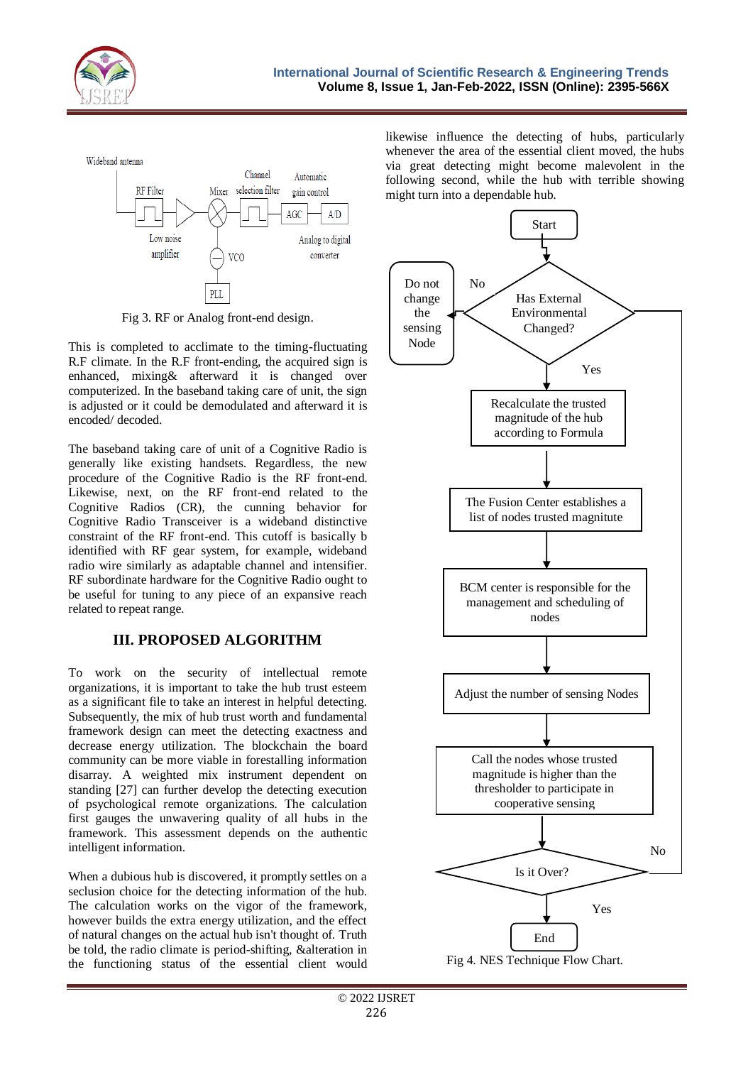

Wideband antenna



Fig 3. RF or Analog front-end design.

This is completed to acclimate to the timing-fluctuating R.F climate. In the R.F front-ending, the acquired sign is enhanced, mixing& afterward it is changed over computerized. In the baseband taking care of unit, the sign is adjusted or it could be demodulated and afterward it is encoded/ decoded.

The baseband taking care of unit of a Cognitive Radio is generally like existing handsets. Regardless, the new procedure of the Cognitive Radio is the RF front-end. Likewise, next, on the RF front-end related to the Cognitive Radios (CR), the cunning behavior for Cognitive Radio Transceiver is a wideband distinctive constraint of the RF front-end. This cutoff is basically b identified with RF gear system, for example, wideband radio wire similarly as adaptable channel and intensifier. RF subordinate hardware for the Cognitive Radio ought to be useful for tuning to any piece of an expansive reach related to repeat range.

# **III. PROPOSED ALGORITHM**

To work on the security of intellectual remote organizations, it is important to take the hub trust esteem as a significant file to take an interest in helpful detecting. Subsequently, the mix of hub trust worth and fundamental framework design can meet the detecting exactness and decrease energy utilization. The blockchain the board community can be more viable in forestalling information disarray. A weighted mix instrument dependent on standing [27] can further develop the detecting execution of psychological remote organizations. The calculation first gauges the unwavering quality of all hubs in the framework. This assessment depends on the authentic intelligent information.

When a dubious hub is discovered, it promptly settles on a seclusion choice for the detecting information of the hub. The calculation works on the vigor of the framework, however builds the extra energy utilization, and the effect of natural changes on the actual hub isn't thought of. Truth be told, the radio climate is period-shifting, &alteration in the functioning status of the essential client would

likewise influence the detecting of hubs, particularly whenever the area of the essential client moved, the hubs via great detecting might become malevolent in the following second, while the hub with terrible showing might turn into a dependable hub.

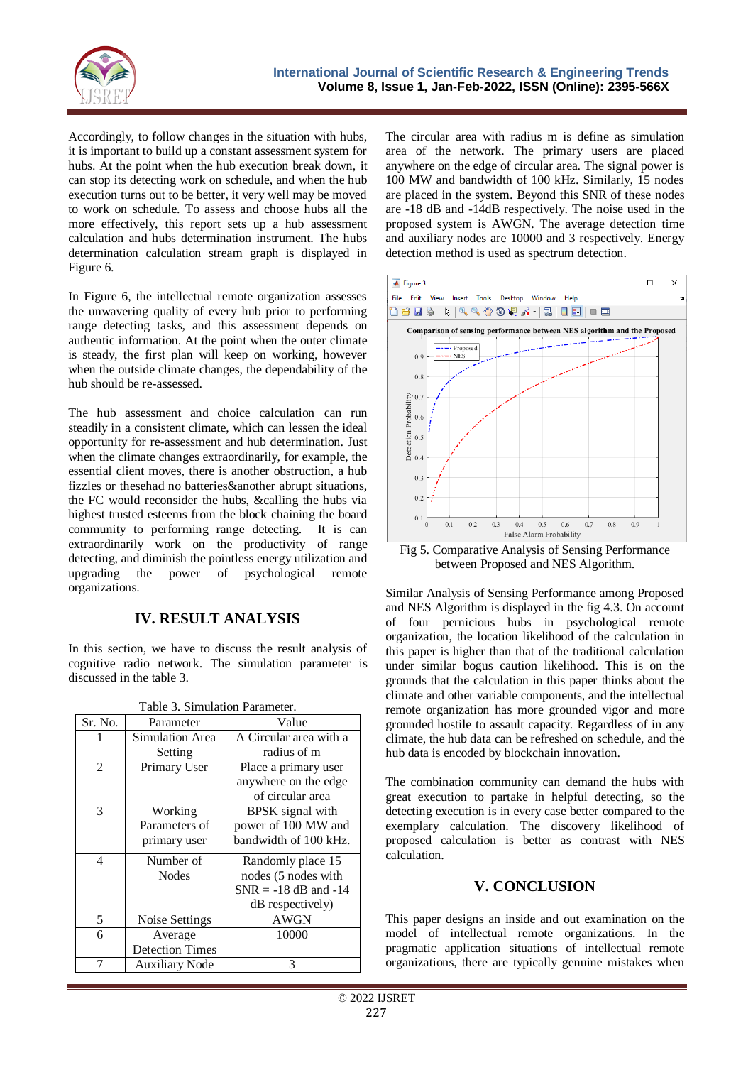

Accordingly, to follow changes in the situation with hubs, it is important to build up a constant assessment system for hubs. At the point when the hub execution break down, it can stop its detecting work on schedule, and when the hub execution turns out to be better, it very well may be moved to work on schedule. To assess and choose hubs all the more effectively, this report sets up a hub assessment calculation and hubs determination instrument. The hubs determination calculation stream graph is displayed in Figure 6.

In Figure 6, the intellectual remote organization assesses the unwavering quality of every hub prior to performing range detecting tasks, and this assessment depends on authentic information. At the point when the outer climate is steady, the first plan will keep on working, however when the outside climate changes, the dependability of the hub should be re-assessed.

The hub assessment and choice calculation can run steadily in a consistent climate, which can lessen the ideal opportunity for re-assessment and hub determination. Just when the climate changes extraordinarily, for example, the essential client moves, there is another obstruction, a hub fizzles or thesehad no batteries&another abrupt situations, the FC would reconsider the hubs, &calling the hubs via highest trusted esteems from the block chaining the board community to performing range detecting. It is can extraordinarily work on the productivity of range detecting, and diminish the pointless energy utilization and upgrading the power of psychological remote organizations.

## **IV. RESULT ANALYSIS**

In this section, we have to discuss the result analysis of cognitive radio network. The simulation parameter is discussed in the table 3.

| Table 3. Simulation Parameter. |                        |                          |  |  |
|--------------------------------|------------------------|--------------------------|--|--|
| Sr. No.                        | Parameter              | Value                    |  |  |
|                                | Simulation Area        | A Circular area with a   |  |  |
|                                | Setting                | radius of m              |  |  |
| $\overline{2}$                 | Primary User           | Place a primary user     |  |  |
|                                |                        | anywhere on the edge     |  |  |
|                                |                        | of circular area         |  |  |
| 3                              | Working                | BPSK signal with         |  |  |
|                                | Parameters of          | power of 100 MW and      |  |  |
|                                | primary user           | bandwidth of 100 kHz.    |  |  |
| $\overline{4}$                 | Number of              | Randomly place 15        |  |  |
|                                | <b>Nodes</b>           | nodes (5 nodes with      |  |  |
|                                |                        | $SNR = -18$ dB and $-14$ |  |  |
|                                |                        | dB respectively)         |  |  |
| 5                              | Noise Settings         | <b>AWGN</b>              |  |  |
| 6                              | Average                | 10000                    |  |  |
|                                | <b>Detection Times</b> |                          |  |  |
|                                | <b>Auxiliary Node</b>  | 3                        |  |  |

The circular area with radius m is define as simulation area of the network. The primary users are placed anywhere on the edge of circular area. The signal power is 100 MW and bandwidth of 100 kHz. Similarly, 15 nodes are placed in the system. Beyond this SNR of these nodes are -18 dB and -14dB respectively. The noise used in the proposed system is AWGN. The average detection time and auxiliary nodes are 10000 and 3 respectively. Energy detection method is used as spectrum detection.



Fig 5. Comparative Analysis of Sensing Performance between Proposed and NES Algorithm.

Similar Analysis of Sensing Performance among Proposed and NES Algorithm is displayed in the fig 4.3. On account of four pernicious hubs in psychological remote organization, the location likelihood of the calculation in this paper is higher than that of the traditional calculation under similar bogus caution likelihood. This is on the grounds that the calculation in this paper thinks about the climate and other variable components, and the intellectual remote organization has more grounded vigor and more grounded hostile to assault capacity. Regardless of in any climate, the hub data can be refreshed on schedule, and the hub data is encoded by blockchain innovation.

The combination community can demand the hubs with great execution to partake in helpful detecting, so the detecting execution is in every case better compared to the exemplary calculation. The discovery likelihood of proposed calculation is better as contrast with NES calculation.

#### **V. CONCLUSION**

This paper designs an inside and out examination on the model of intellectual remote organizations. In the pragmatic application situations of intellectual remote organizations, there are typically genuine mistakes when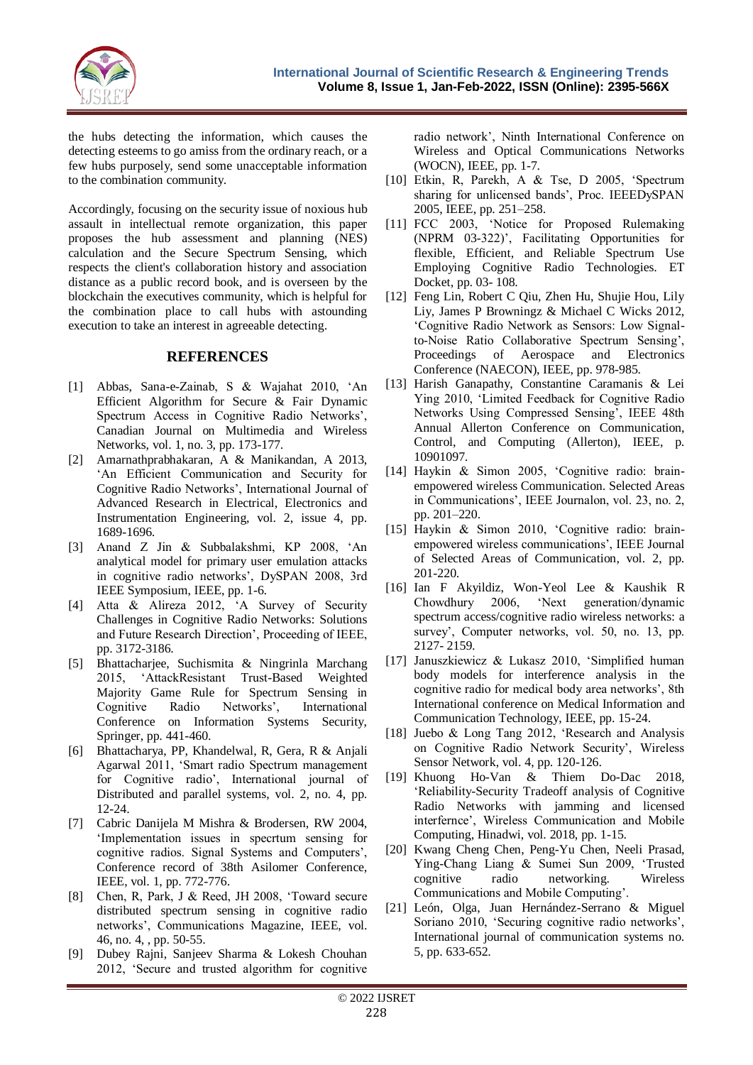

the hubs detecting the information, which causes the detecting esteems to go amiss from the ordinary reach, or a few hubs purposely, send some unacceptable information to the combination community.

Accordingly, focusing on the security issue of noxious hub assault in intellectual remote organization, this paper proposes the hub assessment and planning (NES) calculation and the Secure Spectrum Sensing, which respects the client's collaboration history and association distance as a public record book, and is overseen by the blockchain the executives community, which is helpful for the combination place to call hubs with astounding execution to take an interest in agreeable detecting.

#### **REFERENCES**

- [1] Abbas, Sana-e-Zainab, S & Wajahat 2010, 'An Efficient Algorithm for Secure & Fair Dynamic Spectrum Access in Cognitive Radio Networks', Canadian Journal on Multimedia and Wireless Networks, vol. 1, no. 3, pp. 173-177.
- [2] Amarnathprabhakaran, A & Manikandan, A 2013, 'An Efficient Communication and Security for Cognitive Radio Networks', International Journal of Advanced Research in Electrical, Electronics and Instrumentation Engineering, vol. 2, issue 4, pp. 1689-1696.
- [3] Anand Z Jin & Subbalakshmi, KP 2008, 'An analytical model for primary user emulation attacks in cognitive radio networks', DySPAN 2008, 3rd IEEE Symposium, IEEE, pp. 1-6.
- [4] Atta & Alireza 2012, 'A Survey of Security Challenges in Cognitive Radio Networks: Solutions and Future Research Direction', Proceeding of IEEE, pp. 3172-3186.
- [5] Bhattacharjee, Suchismita & Ningrinla Marchang 2015, 'AttackResistant Trust-Based Weighted Majority Game Rule for Spectrum Sensing in Cognitive Radio Networks', International Conference on Information Systems Security, Springer, pp. 441-460.
- [6] Bhattacharya, PP, Khandelwal, R, Gera, R & Anjali Agarwal 2011, 'Smart radio Spectrum management for Cognitive radio', International journal of Distributed and parallel systems, vol. 2, no. 4, pp. 12-24.
- [7] Cabric Danijela M Mishra & Brodersen, RW 2004, 'Implementation issues in specrtum sensing for cognitive radios. Signal Systems and Computers', Conference record of 38th Asilomer Conference, IEEE, vol. 1, pp. 772-776.
- [8] Chen, R, Park, J & Reed, JH 2008, 'Toward secure distributed spectrum sensing in cognitive radio networks', Communications Magazine, IEEE, vol. 46, no. 4, , pp. 50-55.
- [9] Dubey Rajni, Sanjeev Sharma & Lokesh Chouhan 2012, 'Secure and trusted algorithm for cognitive

radio network', Ninth International Conference on Wireless and Optical Communications Networks (WOCN), IEEE, pp. 1-7.

- [10] Etkin, R, Parekh, A & Tse, D 2005, 'Spectrum sharing for unlicensed bands', Proc. IEEEDySPAN 2005, IEEE, pp. 251–258.
- [11] FCC 2003, 'Notice for Proposed Rulemaking (NPRM 03-322)', Facilitating Opportunities for flexible, Efficient, and Reliable Spectrum Use Employing Cognitive Radio Technologies. ET Docket, pp. 03- 108.
- [12] Feng Lin, Robert C Qiu, Zhen Hu, Shujie Hou, Lily Liy, James P Browningz & Michael C Wicks 2012, 'Cognitive Radio Network as Sensors: Low Signalto-Noise Ratio Collaborative Spectrum Sensing', Proceedings of Aerospace and Electronics Conference (NAECON), IEEE, pp. 978-985.
- [13] Harish Ganapathy, Constantine Caramanis & Lei Ying 2010, 'Limited Feedback for Cognitive Radio Networks Using Compressed Sensing', IEEE 48th Annual Allerton Conference on Communication, Control, and Computing (Allerton), IEEE, p. 10901097.
- [14] Haykin & Simon 2005, 'Cognitive radio: brainempowered wireless Communication. Selected Areas in Communications', IEEE Journalon, vol. 23, no. 2, pp. 201–220.
- [15] Haykin & Simon 2010, 'Cognitive radio: brainempowered wireless communications', IEEE Journal of Selected Areas of Communication, vol. 2, pp. 201-220.
- [16] Ian F Akyildiz, Won-Yeol Lee & Kaushik R Chowdhury 2006, 'Next generation/dynamic spectrum access/cognitive radio wireless networks: a survey', Computer networks, vol. 50, no. 13, pp. 2127- 2159.
- [17] Januszkiewicz & Lukasz 2010, 'Simplified human body models for interference analysis in the cognitive radio for medical body area networks', 8th International conference on Medical Information and Communication Technology, IEEE, pp. 15-24.
- [18] Juebo & Long Tang 2012, 'Research and Analysis on Cognitive Radio Network Security', Wireless Sensor Network, vol. 4, pp. 120-126.
- [19] Khuong Ho-Van & Thiem Do-Dac 2018, 'Reliability-Security Tradeoff analysis of Cognitive Radio Networks with jamming and licensed interfernce', Wireless Communication and Mobile Computing, Hinadwi, vol. 2018, pp. 1-15.
- [20] Kwang Cheng Chen, Peng-Yu Chen, Neeli Prasad, Ying-Chang Liang & Sumei Sun 2009, 'Trusted cognitive radio networking. Wireless Communications and Mobile Computing'.
- [21] León, Olga, Juan Hernández-Serrano & Miguel Soriano 2010, 'Securing cognitive radio networks', International journal of communication systems no. 5, pp. 633-652.